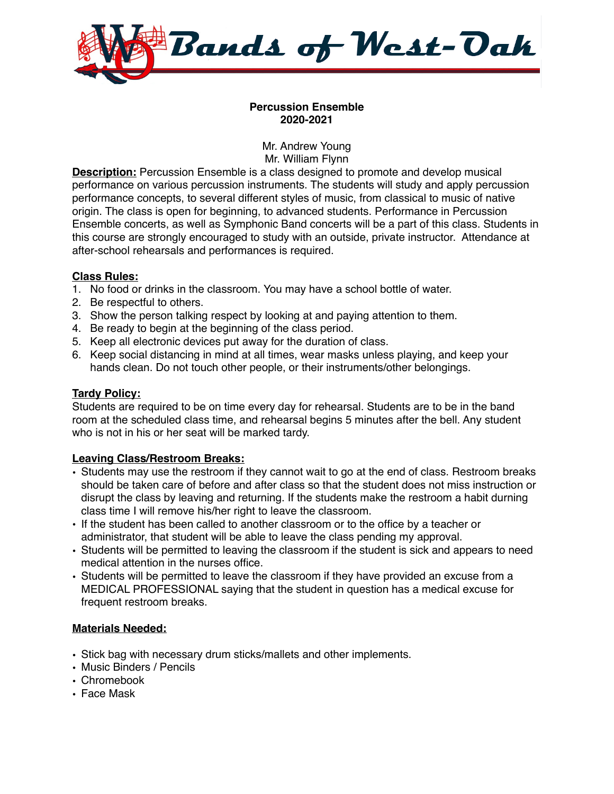

### **Percussion Ensemble 2020-2021**

Mr. Andrew Young Mr. William Flynn

**Description:** Percussion Ensemble is a class designed to promote and develop musical performance on various percussion instruments. The students will study and apply percussion performance concepts, to several different styles of music, from classical to music of native origin. The class is open for beginning, to advanced students. Performance in Percussion Ensemble concerts, as well as Symphonic Band concerts will be a part of this class. Students in this course are strongly encouraged to study with an outside, private instructor. Attendance at after-school rehearsals and performances is required.

## **Class Rules:**

- 1. No food or drinks in the classroom. You may have a school bottle of water.
- 2. Be respectful to others.
- 3. Show the person talking respect by looking at and paying attention to them.
- 4. Be ready to begin at the beginning of the class period.
- 5. Keep all electronic devices put away for the duration of class.
- 6. Keep social distancing in mind at all times, wear masks unless playing, and keep your hands clean. Do not touch other people, or their instruments/other belongings.

### **Tardy Policy:**

Students are required to be on time every day for rehearsal. Students are to be in the band room at the scheduled class time, and rehearsal begins 5 minutes after the bell. Any student who is not in his or her seat will be marked tardy.

## **Leaving Class/Restroom Breaks:**

- Students may use the restroom if they cannot wait to go at the end of class. Restroom breaks should be taken care of before and after class so that the student does not miss instruction or disrupt the class by leaving and returning. If the students make the restroom a habit durning class time I will remove his/her right to leave the classroom.
- If the student has been called to another classroom or to the office by a teacher or administrator, that student will be able to leave the class pending my approval.
- Students will be permitted to leaving the classroom if the student is sick and appears to need medical attention in the nurses office.
- Students will be permitted to leave the classroom if they have provided an excuse from a MEDICAL PROFESSIONAL saying that the student in question has a medical excuse for frequent restroom breaks.

## **Materials Needed:**

- Stick bag with necessary drum sticks/mallets and other implements.
- Music Binders / Pencils
- Chromebook
- Face Mask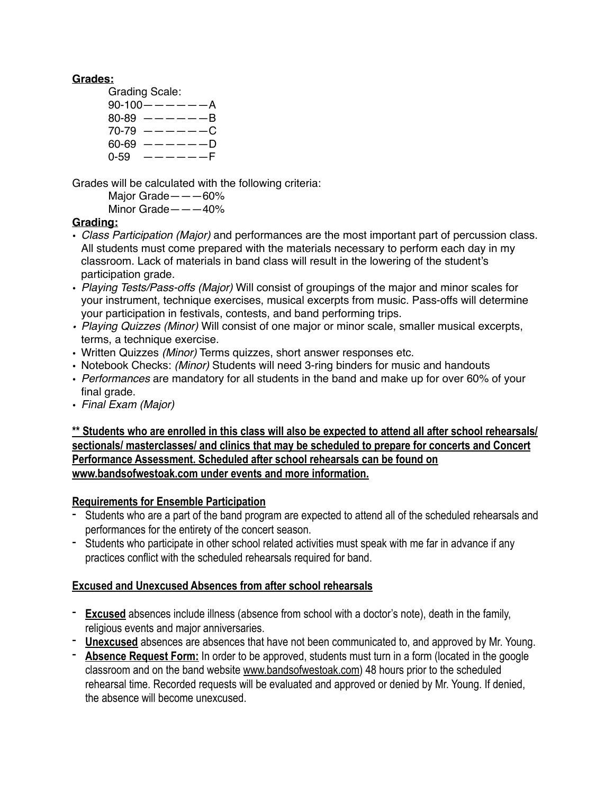### **Grades:**

- Grading Scale:
	- $90-100$   $-- A$  $80-89$   $-- -B$  $70-79$   $-- -C$  $60-69$   $-- -D$  $0-59$   $---F$

Grades will be calculated with the following criteria:

Major Grade———60%

Minor Grade———40%

## **Grading:**

- *Class Participation (Major)* and performances are the most important part of percussion class. All students must come prepared with the materials necessary to perform each day in my classroom. Lack of materials in band class will result in the lowering of the student's participation grade.
- *Playing Tests/Pass-offs (Major)* Will consist of groupings of the major and minor scales for your instrument, technique exercises, musical excerpts from music. Pass-offs will determine your participation in festivals, contests, and band performing trips.
- *• Playing Quizzes (Minor)* Will consist of one major or minor scale, smaller musical excerpts, terms, a technique exercise.
- Written Quizzes *(Minor)* Terms quizzes, short answer responses etc.
- Notebook Checks: *(Minor)* Students will need 3-ring binders for music and handouts
- *Performances* are mandatory for all students in the band and make up for over 60% of your final grade.
- *Final Exam (Major)*

**\*\* Students who are enrolled in this class will also be expected to attend all after school rehearsals/ sectionals/ masterclasses/ and clinics that may be scheduled to prepare for concerts and Concert Performance Assessment. Scheduled after school rehearsals can be found on [www.bandsofwestoak.com](http://www.bandsofwestoak.com) under events and more information.** 

## **Requirements for Ensemble Participation**

- Students who are a part of the band program are expected to attend all of the scheduled rehearsals and performances for the entirety of the concert season.
- Students who participate in other school related activities must speak with me far in advance if any practices conflict with the scheduled rehearsals required for band.

# **Excused and Unexcused Absences from after school rehearsals**

- **Excused** absences include illness (absence from school with a doctor's note), death in the family, religious events and major anniversaries.
- **Unexcused** absences are absences that have not been communicated to, and approved by Mr. Young.
- **Absence Request Form:** In order to be approved, students must turn in a form (located in the google classroom and on the band website [www.bandsofwestoak.com\)](http://www.bandsofwestoak.com) 48 hours prior to the scheduled rehearsal time. Recorded requests will be evaluated and approved or denied by Mr. Young. If denied, the absence will become unexcused.